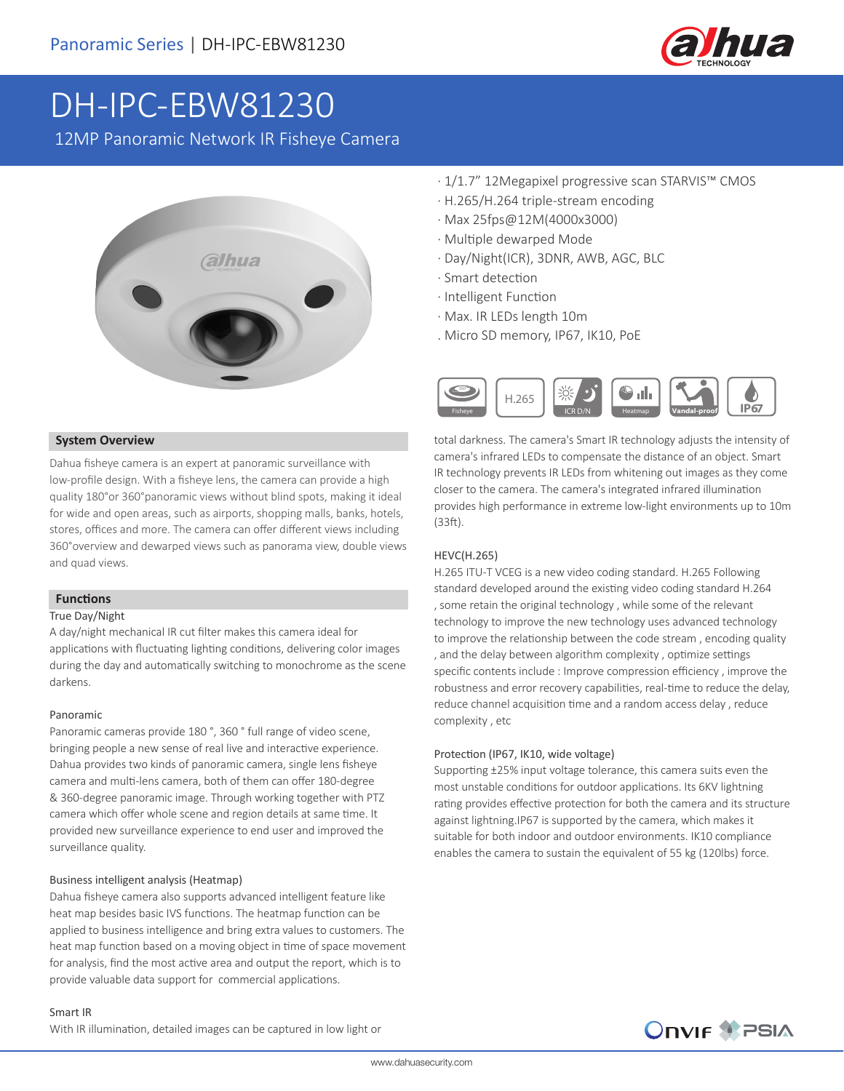

# DH-IPC-EBW81230

12MP Panoramic Network IR Fisheye Camera



#### **System Overview**

Dahua fisheye camera is an expert at panoramic surveillance with low-profile design. With a fisheye lens, the camera can provide a high quality 180°or 360°panoramic views without blind spots, making it ideal for wide and open areas, such as airports, shopping malls, banks, hotels, stores, offices and more. The camera can offer different views including 360°overview and dewarped views such as panorama view, double views and quad views.

#### **Functions**

#### True Day/Night

A day/night mechanical IR cut filter makes this camera ideal for applications with fluctuating lighting conditions, delivering color images during the day and automatically switching to monochrome as the scene darkens.

#### Panoramic

Panoramic cameras provide 180 °, 360 ° full range of video scene, bringing people a new sense of real live and interactive experience. Dahua provides two kinds of panoramic camera, single lens fisheye camera and multi-lens camera, both of them can offer 180-degree & 360-degree panoramic image. Through working together with PTZ camera which offer whole scene and region details at same time. It provided new surveillance experience to end user and improved the surveillance quality.

#### Business intelligent analysis (Heatmap)

Dahua fisheye camera also supports advanced intelligent feature like heat map besides basic IVS functions. The heatmap function can be applied to business intelligence and bring extra values to customers. The heat map function based on a moving object in time of space movement for analysis, find the most active area and output the report, which is to provide valuable data support for commercial applications.

- · 1/1.7" 12Megapixel progressive scan STARVIS™ CMOS
- · H.265/H.264 triple-stream encoding
- · Max 25fps@12M(4000x3000)
- · Multiple dewarped Mode
- · Day/Night(ICR), 3DNR, AWB, AGC, BLC
- · Smart detection
- · Intelligent Function
- · Max. IR LEDs length 10m
- . Micro SD memory, IP67, IK10, PoE



total darkness. The camera's Smart IR technology adjusts the intensity of camera's infrared LEDs to compensate the distance of an object. Smart IR technology prevents IR LEDs from whitening out images as they come closer to the camera. The camera's integrated infrared illumination provides high performance in extreme low-light environments up to 10m (33ft).

#### HEVC(H.265)

H.265 ITU-T VCEG is a new video coding standard. H.265 Following standard developed around the existing video coding standard H.264 , some retain the original technology , while some of the relevant technology to improve the new technology uses advanced technology to improve the relationship between the code stream , encoding quality , and the delay between algorithm complexity , optimize settings specific contents include : Improve compression efficiency , improve the robustness and error recovery capabilities, real-time to reduce the delay, reduce channel acquisition time and a random access delay , reduce complexity , etc

#### Protection (IP67, IK10, wide voltage)

Supporting ±25% input voltage tolerance, this camera suits even the most unstable conditions for outdoor applications. Its 6KV lightning rating provides effective protection for both the camera and its structure against lightning.IP67 is supported by the camera, which makes it suitable for both indoor and outdoor environments. IK10 compliance enables the camera to sustain the equivalent of 55 kg (120lbs) force.

#### Smart IR

With IR illumination, detailed images can be captured in low light or

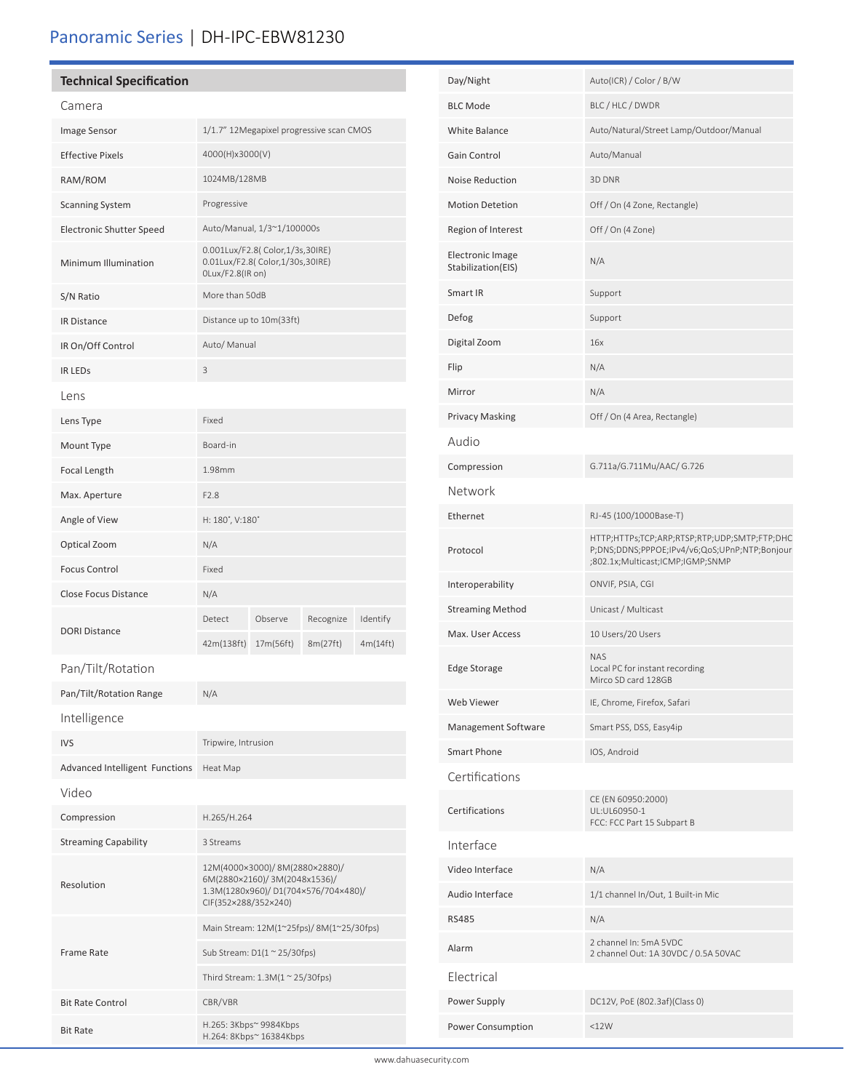# Panoramic Series | DH-IPC-EBW81230

## **Technical Specification**

| Camera                                |                                                                                                                               |           |           |          |
|---------------------------------------|-------------------------------------------------------------------------------------------------------------------------------|-----------|-----------|----------|
| Image Sensor                          | 1/1.7" 12Megapixel progressive scan CMOS                                                                                      |           |           |          |
| <b>Effective Pixels</b>               | 4000(H)x3000(V)                                                                                                               |           |           |          |
| RAM/ROM                               | 1024MB/128MB                                                                                                                  |           |           |          |
| <b>Scanning System</b>                | Progressive                                                                                                                   |           |           |          |
| <b>Electronic Shutter Speed</b>       | Auto/Manual, 1/3~1/100000s                                                                                                    |           |           |          |
| Minimum Illumination                  | 0.001Lux/F2.8( Color,1/3s,30IRE)<br>0.01Lux/F2.8( Color,1/30s,30IRE)<br>OLux/F2.8(IR on)                                      |           |           |          |
| S/N Ratio                             | More than 50dB                                                                                                                |           |           |          |
| <b>IR Distance</b>                    | Distance up to 10m(33ft)                                                                                                      |           |           |          |
| IR On/Off Control                     | Auto/ Manual                                                                                                                  |           |           |          |
| <b>IR LEDS</b>                        | 3                                                                                                                             |           |           |          |
| Lens                                  |                                                                                                                               |           |           |          |
| Lens Type                             | Fixed                                                                                                                         |           |           |          |
| Mount Type                            | Board-in                                                                                                                      |           |           |          |
| Focal Length                          | 1.98mm                                                                                                                        |           |           |          |
| Max. Aperture                         | F <sub>2.8</sub>                                                                                                              |           |           |          |
| Angle of View                         | H: 180°, V:180°                                                                                                               |           |           |          |
| Optical Zoom                          | N/A                                                                                                                           |           |           |          |
| <b>Focus Control</b>                  | Fixed                                                                                                                         |           |           |          |
| <b>Close Focus Distance</b>           | N/A                                                                                                                           |           |           |          |
|                                       | Detect                                                                                                                        | Observe   | Recognize | Identify |
| <b>DORI Distance</b>                  | 42m(138ft)                                                                                                                    | 17m(56ft) | 8m(27ft)  | 4m(14ft) |
| Pan/Tilt/Rotation                     |                                                                                                                               |           |           |          |
| Pan/Tilt/Rotation Range               | N/A                                                                                                                           |           |           |          |
| Intelligence                          |                                                                                                                               |           |           |          |
| <b>IVS</b>                            | Tripwire, Intrusion                                                                                                           |           |           |          |
| <b>Advanced Intelligent Functions</b> | Heat Map                                                                                                                      |           |           |          |
| Video                                 |                                                                                                                               |           |           |          |
| Compression                           | H.265/H.264                                                                                                                   |           |           |          |
| <b>Streaming Capability</b>           | 3 Streams                                                                                                                     |           |           |          |
| Resolution                            | 12M(4000×3000)/8M(2880×2880)/<br>6M(2880×2160)/ 3M(2048x1536)/<br>1.3M(1280x960)/D1(704×576/704×480)/<br>CIF(352×288/352×240) |           |           |          |
|                                       | Main Stream: 12M(1~25fps)/ 8M(1~25/30fps)                                                                                     |           |           |          |
| Frame Rate                            | Sub Stream: $D1(1 \approx 25/30$ fps)                                                                                         |           |           |          |
|                                       | Third Stream: $1.3M(1 \approx 25/30$ fps)                                                                                     |           |           |          |

Bit Rate Control CBR/VBR

Bit Rate H.265: 3Kbps~ 9984Kbps H.264: 8Kbps~ 16384Kbps

| Day/Night                                     | Auto(ICR) / Color / B/W                                                                                                           |  |
|-----------------------------------------------|-----------------------------------------------------------------------------------------------------------------------------------|--|
| <b>BLC Mode</b>                               | BLC / HLC / DWDR                                                                                                                  |  |
| White Balance                                 | Auto/Natural/Street Lamp/Outdoor/Manual                                                                                           |  |
| Gain Control                                  | Auto/Manual                                                                                                                       |  |
| Noise Reduction                               | 3D DNR                                                                                                                            |  |
| <b>Motion Detetion</b>                        | Off / On (4 Zone, Rectangle)                                                                                                      |  |
| Region of Interest                            | Off / On (4 Zone)                                                                                                                 |  |
| <b>Electronic Image</b><br>Stabilization(EIS) | N/A                                                                                                                               |  |
| Smart IR                                      | Support                                                                                                                           |  |
| Defog                                         | Support                                                                                                                           |  |
| Digital Zoom                                  | 16x                                                                                                                               |  |
| Flip                                          | N/A                                                                                                                               |  |
| Mirror                                        | N/A                                                                                                                               |  |
| <b>Privacy Masking</b>                        | Off / On (4 Area, Rectangle)                                                                                                      |  |
| Audio                                         |                                                                                                                                   |  |
| Compression                                   | G.711a/G.711Mu/AAC/ G.726                                                                                                         |  |
| Network                                       |                                                                                                                                   |  |
| Ethernet                                      | RJ-45 (100/1000Base-T)                                                                                                            |  |
| Protocol                                      | HTTP;HTTPs;TCP;ARP;RTSP;RTP;UDP;SMTP;FTP;DHC<br>P;DNS;DDNS;PPPOE;IPv4/v6;QoS;UPnP;NTP;Bonjour<br>;802.1x;Multicast;ICMP;IGMP;SNMP |  |
| Interoperability                              | ONVIF, PSIA, CGI                                                                                                                  |  |
| <b>Streaming Method</b>                       | Unicast / Multicast                                                                                                               |  |
| Max. User Access                              | 10 Users/20 Users                                                                                                                 |  |
| <b>Edge Storage</b>                           | <b>NAS</b><br>Local PC for instant recording<br>Mirco SD card 128GB                                                               |  |
| Web Viewer                                    | IE, Chrome, Firefox, Safari                                                                                                       |  |
| Management Software                           | Smart PSS, DSS, Easy4ip                                                                                                           |  |
| <b>Smart Phone</b>                            | IOS, Android                                                                                                                      |  |
| Certifications                                |                                                                                                                                   |  |
| Certifications                                | CE (EN 60950:2000)<br>UL:UL60950-1<br>FCC: FCC Part 15 Subpart B                                                                  |  |
| Interface                                     |                                                                                                                                   |  |
| Video Interface                               | N/A                                                                                                                               |  |
| Audio Interface                               | 1/1 channel In/Out, 1 Built-in Mic                                                                                                |  |
| <b>RS485</b>                                  | N/A                                                                                                                               |  |
| Alarm                                         | 2 channel In: 5mA 5VDC<br>2 channel Out: 1A 30VDC / 0.5A 50VAC                                                                    |  |
| Electrical                                    |                                                                                                                                   |  |
| Power Supply                                  | DC12V, PoE (802.3af)(Class 0)                                                                                                     |  |
| Power Consumption                             | <12W                                                                                                                              |  |